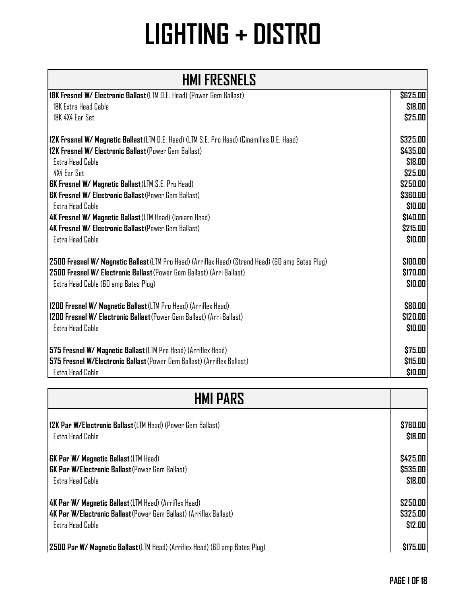| 18K Fresnel W/ Electronic Ballast (LTM D.E. Head) (Power Gem Ballast)                             | \$625.00 |
|---------------------------------------------------------------------------------------------------|----------|
| 18K Extra Head Cable                                                                              | \$18.00  |
| 18K 4X4 Ear Set                                                                                   | \$25.00  |
|                                                                                                   |          |
| 12K Fresnel W/ Magnetic Ballast (LTM D.E. Head) (LTM S.E. Pro Head) (Cinemilles D.E. Head)        | \$325.00 |
| 12K Fresnel W/ Electronic Ballast (Power Gem Ballast)                                             | \$435.00 |
| Extra Head Cable                                                                                  | \$18.00  |
| 4X4 Ear Set                                                                                       | \$25.00  |
| <b>GK Fresnel W/ Magnetic Ballast (LTM S.E. Pro Head)</b>                                         | \$250.00 |
| <b>GK Fresnel W/ Electronic Ballast</b> (Power Gem Ballast)                                       | \$360.00 |
| Extra Head Cable                                                                                  | \$10.00  |
| 4K Fresnel W/ Magnetic Ballast (LTM Head) (laniaro Head)                                          | \$140.00 |
| 4K Fresnel W/ Electronic Ballast (Power Gem Ballast)                                              | \$215.00 |
| <b>Extra Head Cable</b>                                                                           | \$10.00  |
|                                                                                                   |          |
| 2500 Fresnel W/ Magnetic Ballast (LTM Pro Head) (Arriflex Head) (Strand Head) (60 amp Bates Plug) | \$100.00 |
| 2500 Fresnel W/ Electronic Ballast (Power Gem Ballast) (Arri Ballast)                             | \$170.00 |
| Extra Head Cable (60 amp Bates Plug)                                                              | \$10.00  |
|                                                                                                   |          |
| 1200 Fresnel W/ Magnetic Ballast (LTM Pro Head) (Arriflex Head)                                   | \$80.00  |
| 1200 Fresnel W/ Electronic Ballast (Power Gem Ballast) (Arri Ballast)                             | \$120.00 |
| <b>Extra Head Cable</b>                                                                           | \$10.00  |
|                                                                                                   |          |
| 575 Fresnel W/ Magnetic Ballast (LTM Pro Head) (Arriflex Head)                                    | \$75.00  |
| 575 Fresnel W/Electronic Ballast (Power Gem Ballast) (Arriflex Ballast)                           | \$115.00 |
| <b>Extra Head Cable</b>                                                                           | \$10.00  |

| <b>HMI PARS</b>                                                                    |                 |
|------------------------------------------------------------------------------------|-----------------|
| <b> 12K Par W/Electronic Ballast</b> (LTM Head) (Power Gem Ballast)                | <b>\$760.00</b> |
| <b>Extra Head Cable</b>                                                            | \$18.00         |
| <b>GK Par W/ Magnetic Ballast (LTM Head)</b>                                       | \$425.00        |
| <b>IGK Par W/Electronic Ballast</b> (Power Gem Ballast)                            | \$535.00        |
| Extra Head Cable                                                                   | \$18.00         |
| <b>4K Par W/ Magnetic Ballast</b> (LTM Head) (Arriflex Head)                       | \$250.00        |
| <b> 4K Par W/Electronic Ballast</b> (Power Gem Ballast) (Arriflex Ballast)         | \$325.00        |
| Extra Head Cable                                                                   | \$12.00         |
| <b>2500 Par W/ Magnetic Ballast</b> (LTM Head) (Arriflex Head) (60 amp Bates Plug) | \$175.00        |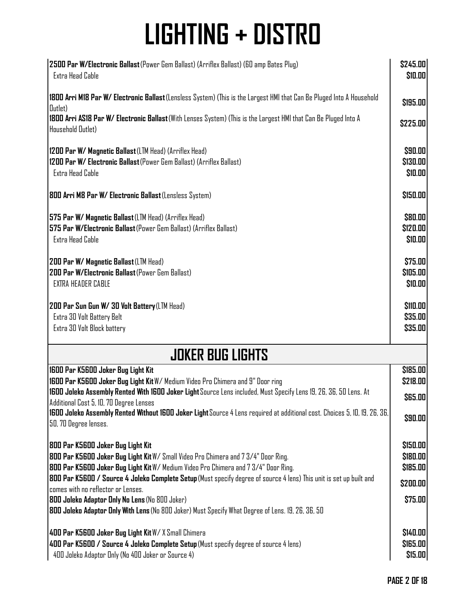| 2500 Par W/Electronic Ballast (Power Gem Ballast) (Arriflex Ballast) (60 amp Bates Plug)                                                                     | \$245.00      |  |
|--------------------------------------------------------------------------------------------------------------------------------------------------------------|---------------|--|
| Extra Head Cable                                                                                                                                             | \$10.00       |  |
| 1800 Arri M18 Par W/ Electronic Ballast (Lensless System) (This is the Largest HMI that Can Be Pluged Into A Household<br>Dutlet)                            | \$195.00      |  |
| 1800 Arri AS18 Par W/ Electronic Ballast (With Lenses System) (This is the Largest HMI that Can Be Pluged Into A<br>Household Outlet)                        | \$225.00      |  |
| 1200 Par W/ Magnetic Ballast (LTM Head) (Arriflex Head)                                                                                                      | \$90.00       |  |
| 1200 Par W/ Electronic Ballast (Power Gem Ballast) (Arriflex Ballast)                                                                                        | \$130.00      |  |
| Extra Head Cable                                                                                                                                             | \$10.00       |  |
| 800 Arri M8 Par W/ Electronic Ballast (Lensless System)                                                                                                      | \$150.00      |  |
| 575 Par W/ Magnetic Ballast (LTM Head) (Arriflex Head)                                                                                                       | \$80.00       |  |
| 575 Par W/Electronic Ballast (Power Gem Ballast) (Arriflex Ballast)                                                                                          | \$120.00      |  |
| Extra Head Cable                                                                                                                                             | \$10.00       |  |
| 200 Par W/ Magnetic Ballast (LTM Head)                                                                                                                       | \$75.00       |  |
| 200 Par W/Electronic Ballast (Power Gem Ballast)                                                                                                             | \$105.00      |  |
| EXTRA HEADER CABLE                                                                                                                                           | \$10.00       |  |
| 200 Par Sun Gun W/ 30 Volt Battery (LTM Head)                                                                                                                | \$110.00      |  |
| Extra 30 Volt Battery Belt                                                                                                                                   | \$35.00       |  |
| Extra 30 Volt Block battery                                                                                                                                  | \$35.00       |  |
| <b>JOKER BUG LIGHTS</b>                                                                                                                                      |               |  |
| 1600 Par K5600 Joker Bug Light Kit                                                                                                                           | \$185.00      |  |
| 1600 Par K5600 Joker Bug Light Kit W/ Medium Video Pro Chimera and 9" Door ring                                                                              | \$218.00      |  |
| 1600 Joleko Assembly Rented With 1600 Joker Light Source Lens included, Must Specify Lens 19, 26, 36, 50 Lens. At<br>Additional Cost 5, 10, 70 Degree Lenses | <b>SG5.00</b> |  |
| 1600 Joleko Assembly Rented Without 1600 Joker Light Source 4 Lens required at additional cost. Choices 5, 10, 19, 26, 36,<br>50, 70 Degree lenses.          | \$90.00       |  |
| 800 Par K5600 Joker Bug Light Kit                                                                                                                            | \$150.00      |  |
| 800 Par K5600 Joker Bug Light Kit W/ Small Video Pro Chimera and 7 3/4" Door Ring.                                                                           | \$180.00      |  |
| 800 Par K5600 Joker Bug Light Kit W/ Medium Video Pro Chimera and 7 3/4" Door Ring.                                                                          | \$185.00      |  |
| 800 Par K5600 / Source 4 Joleko Complete Setup (Must specify degree of source 4 lens) This unit is set up built and<br>comes with no reflector or Lenses.    | \$200.00      |  |
| 800 Joleko Adaptor Only No Lens (No 800 Joker)<br>800 Joleko Adaptor Only With Lens (No 800 Joker) Must Specify What Degree of Lens. 19, 26, 36, 50          | \$75.00       |  |
| 400 Par K5600 Joker Bug Light Kit W/X Small Chimera                                                                                                          | \$140.00      |  |
| 400 Par K5600 / Source 4 Joleko Complete Setup (Must specify degree of source 4 lens)                                                                        | \$165.00      |  |
| 400 Joleko Adaptor Only (No 400 Joker or Source 4)                                                                                                           | \$15.00       |  |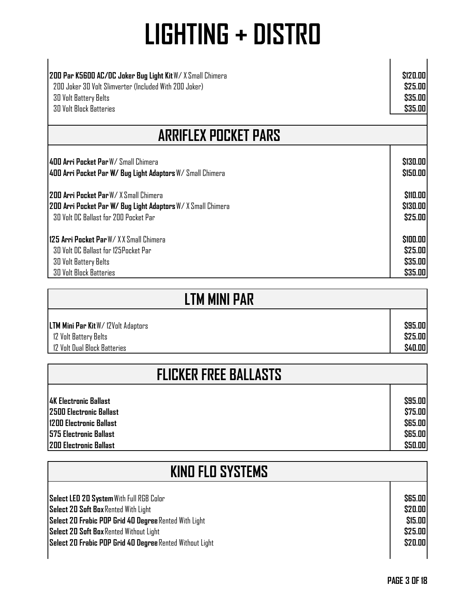| 200 Par K5600 AC/DC Joker Bug Light Kit W/ X Small Chimera  | \$120.00              |  |
|-------------------------------------------------------------|-----------------------|--|
| 200 Joker 30 Volt Slimverter (Included With 200 Joker)      | \$25.00               |  |
| 30 Volt Battery Belts                                       | \$35.00               |  |
| <b>30 Volt Block Batteries</b>                              | \$35.00               |  |
| <b>ARRIFLEX POCKET PARS</b>                                 |                       |  |
| 400 Arri Pocket Par W/ Small Chimera                        | \$130.00              |  |
| 400 Arri Pocket Par W/ Bug Light Adaptors W/ Small Chimera  | \$150.00              |  |
| <b>1200 Arri Pocket Par</b> W/ X Small Chimera              | <b><i>S110.00</i></b> |  |
| 200 Arri Pocket Par W/ Bug Light Adaptors W/X Small Chimera | \$130.00              |  |
| 30 Volt DC Ballast for 200 Pocket Par                       | \$25.00               |  |
| 125 Arri Pocket Par W/ X X Small Chimera                    | \$100.00              |  |
| 30 Volt DC Ballast for 125Pocket Par                        | \$25.00               |  |
| 30 Volt Battery Belts                                       | \$35.00               |  |
| <b>30 Volt Block Batteries</b>                              | \$35.00               |  |

| <b>LTM MINI PAR</b>                         |                |
|---------------------------------------------|----------------|
| <b>LTM Mini Par Kit W/ 12 Volt Adaptors</b> | \$95.00        |
| 12 Volt Battery Belts                       | \$25.00        |
| 12 Volt Dual Block Batteries                | <b>\$40.00</b> |

| <b>FLICKER FREE BALLASTS</b>    |                |
|---------------------------------|----------------|
| 14K Electronic Ballast          | \$95.00        |
| <b>12500 Electronic Ballast</b> | \$75.00        |
| <b>1200 Electronic Ballast</b>  | <b>\$65.00</b> |
| <b>575 Electronic Ballast</b>   | <b>S65.00</b>  |
| <b>200 Electronic Ballast</b>   | \$50.00        |

| <b>KIND FLD SYSTEMS</b>                                  |                |
|----------------------------------------------------------|----------------|
| Select LED 20 System With Full RGB Color                 | <b>\$65.00</b> |
| <b>Select 20 Soft Box Rented With Light</b>              | \$20.00        |
| Select 20 Frabic POP Grid 40 Degree Rented With Light    | \$15.00        |
| Select 20 Soft Box Rented Without Light                  | \$25.00        |
| Select 20 Frabic POP Grid 40 Degree Rented Without Light | \$20.00        |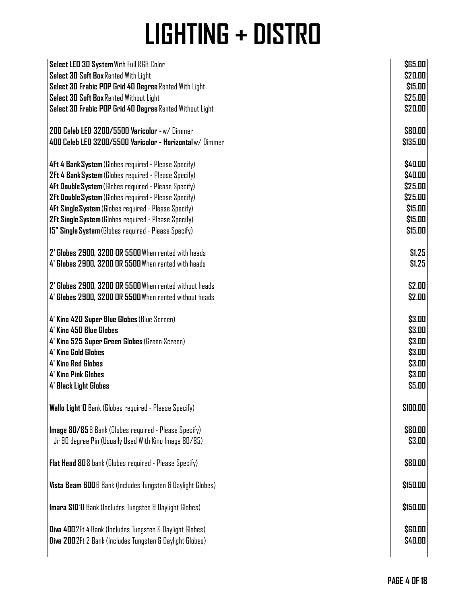| Select LED 30 System With Full RGB Color                         | \$65.00        |
|------------------------------------------------------------------|----------------|
| Select 30 Soft Box Rented With Light                             | \$20.00        |
| Select 30 Frabic POP Grid 40 Degree Rented With Light            | \$15.00        |
|                                                                  |                |
| Select 30 Soft Box Rented Without Light                          | \$25.00        |
| Select 30 Frabic POP Grid 40 Degree Rented Without Light         | \$20.00        |
| 200 Celeb LED 3200/5500 Varicolor - w/ Dimmer                    | \$80.00        |
| 400 Celeb LED 3200/5500 Varicolor - Horizontal w/ Dimmer         | \$135.00       |
| 4Ft 4 Bank System (Globes required - Please Specify)             | \$40.00        |
| 2Ft 4 Bank System (Globes required - Please Specify)             | \$40.00        |
| 4Ft Double System (Globes required - Please Specify)             | \$25.00        |
| 2Ft Double System (Globes required - Please Specify)             | \$25.00        |
| 4Ft Single System (Globes required - Please Specify)             | \$15.00        |
| 2Ft Single System (Globes required - Please Specify)             | \$15.00        |
|                                                                  |                |
| 15" Single System (Globes required - Please Specify)             | \$15.00        |
| 2' Globes 2900, 3200 OR 5500 When rented with heads              | \$1.25         |
| 4' Globes 2900, 3200 OR 5500 When rented with heads              | \$1.25         |
| 2' Globes 2900, 3200 OR 5500 When rented without heads           | \$2.00         |
| 4' Globes 2900, 3200 OR 5500 When rented without heads           | \$2.00         |
| 4' Kino 420 Super Blue Globes (Blue Screen)                      | \$3.00         |
| 4' Kino 450 Blue Globes                                          |                |
|                                                                  | \$3.00         |
| 4' Kino 525 Super Green Globes (Green Screen)                    | \$3.00         |
| <b>4' Kino Gold Globes</b>                                       | \$3.00         |
| 4' King Red Globes                                               | \$3.00         |
| <b>4' Kino Pink Globes</b>                                       | \$3.00         |
| <b>4' Black Light Globes</b>                                     | \$5.00         |
| Wallo Light ID Bank (Globes required - Please Specify)           | \$100.00       |
| Image 80/858 Bank (Globes required - Please Specify)             | \$80.00        |
| Jr 90 degree Pin (Usually Used With Kino Image 80/85)            | \$3.00         |
| Flat Head 808 bank (Globes required - Please Specify)            | \$80.00        |
| Vista Beam 6006 Bank (Includes Tungsten & Daylight Globes)       | \$150.00       |
|                                                                  |                |
| Imara S1010 Bank (Includes Tungsten & Daylight Globes)           | \$150.00       |
| <b>Diva 400</b> 2Ft 4 Bank (Includes Tungsten & Daylight Globes) | <b>\$60.00</b> |
| Diva 2002Ft 2 Bank (Includes Tungsten & Daylight Globes)         | \$40.00        |
|                                                                  |                |
|                                                                  |                |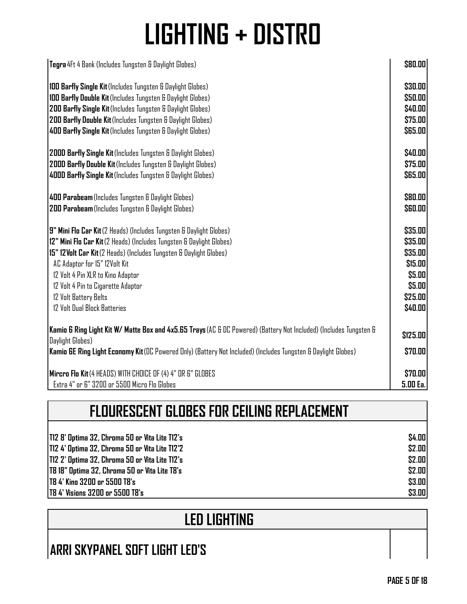| Tegra 4Ft 4 Bank (Includes Tungsten & Daylight Globes)                                                             | \$80.00        |
|--------------------------------------------------------------------------------------------------------------------|----------------|
| 100 Barfly Single Kit (Includes Tungsten & Daylight Globes)                                                        | \$30.00        |
| 100 Barfly Double Kit (Includes Tungsten & Daylight Globes)                                                        | \$50.00        |
| 200 Barfly Single Kit (Includes Tungsten & Daylight Globes)                                                        | \$40.00        |
| 200 Barfly Double Kit (Includes Tungsten & Daylight Globes)                                                        | \$75.00        |
| 400 Barfly Single Kit (Includes Tungsten & Daylight Globes)                                                        | \$65.00        |
| 2000 Barfly Single Kit (Includes Tungsten & Daylight Globes)                                                       | \$40.00        |
| 2000 Barfly Double Kit (Includes Tungsten & Daylight Globes)                                                       | \$75.00        |
| 4000 Barfly Single Kit (Includes Tungsten & Daylight Globes)                                                       | <b>S65.00</b>  |
| 400 Parabeam (Includes Tungsten & Daylight Globes)                                                                 | \$80.00        |
| 200 Parabeam (Includes Tungsten & Daylight Globes)                                                                 | <b>\$60.00</b> |
| 9" Mini Flo Car Kit (2 Heads) (Includes Tungsten & Daylight Globes)                                                | \$35.00        |
| 12" Mini Flo Car Kit (2 Heads) (Includes Tungsten & Daylight Globes)                                               | \$35.00        |
| 15" 12 Volt Car Kit (2 Heads) (Includes Tungsten & Daylight Globes)                                                | \$35.00        |
| AC Adaptor for 15" 12Volt Kit                                                                                      | \$15.00        |
| 12 Volt 4 Pin XLR to Kino Adaptor                                                                                  | \$5.00         |
| 12 Volt 4 Pin to Cigarette Adaptor                                                                                 | \$5.00         |
| 12 Volt Battery Belts                                                                                              | \$25.00        |
| 12 Volt Dual Block Batteries                                                                                       | \$40.00        |
| Kamio 6 Ring Light Kit W/ Matte Box and 4x5.65 Trays (AC & DC Powered) (Battery Not Included) (Includes Tungsten & | \$125.00       |
| Daylight Globes)                                                                                                   |                |
| Kamio GE Ring Light Economy Kit (DC Powered Only) (Battery Not Included) (Includes Tungsten & Daylight Globes)     | \$70.00        |
| Mircro Flo Kit (4 HEADS) WITH CHOICE OF (4) 4" OR 6" GLOBES                                                        | \$70.00        |
| Extra 4" or 6" 3200 or 5500 Micro Flo Globes                                                                       | 5.00 Ea.       |

| FLOURESCENT GLOBES FOR CEILING REPLACEMENT      |        |
|-------------------------------------------------|--------|
|                                                 |        |
| T12 8' Optima 32, Chroma 50 or Vita Lite T12's  | \$4.00 |
| 1712 4' Optima 32, Chroma 50 or Vita Lite T12'2 | \$2.00 |
| T12 2' Optima 32, Chroma 50 or Vita Lite T12's  | \$2.00 |
| T8 18" Optima 32, Chroma 50 or Vita Lite T8's   | \$2.00 |
| <b>T8 4' Kino 3200 or 5500 T8's</b>             | \$3.00 |
| <b>TB 4' Visions 3200 or 5500 TB's</b>          | \$3.00 |

#### **LED LIGHTING**

### **ARRI SKYPANEL SOFT LIGHT LED'S**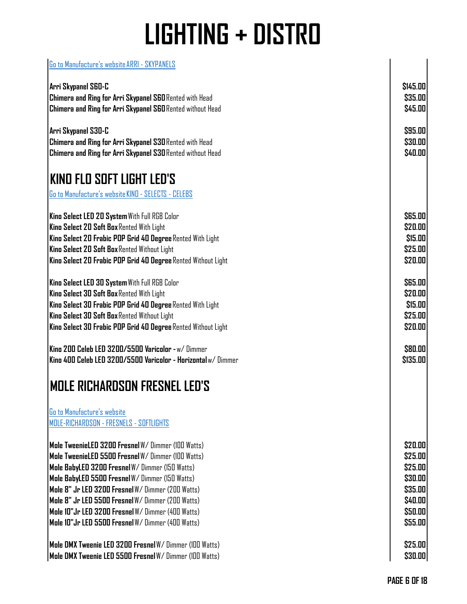| Go to Manufacture's website ARRI - SKYPANELS                      |                |
|-------------------------------------------------------------------|----------------|
| Arri Skypanel S60-C                                               | \$145.00       |
| <b>Chimera and Ring for Arri Skypanel S60</b> Rented with Head    | \$35.00        |
| <b>Chimera and Ring for Arri Skypanel S60 Rented without Head</b> | \$45.00        |
|                                                                   |                |
| Arri Skypanel S30-C                                               | \$95.00        |
| <b>Chimera and Ring for Arri Skypanel S30 Rented with Head</b>    | \$30.00        |
| <b>Chimera and Ring for Arri Skypanel S30 Rented without Head</b> | \$40.00        |
| KIND FLO SOFT LIGHT LED'S                                         |                |
| Go to Manufacture's website KINO - SELECTS - CELEBS               |                |
|                                                                   |                |
| Kino Select LED 20 System With Full RGB Color                     | <b>\$65.00</b> |
| Kino Select 20 Soft Box Rented With Light                         | \$20.00        |
| Kino Select 20 Frabic POP Grid 40 Degree Rented With Light        | \$15.00        |
| Kino Select 20 Soft Box Rented Without Light                      | \$25.00        |
| Kino Select 20 Frabic POP Grid 40 Degree Rented Without Light     | \$20.00        |
| <b>Kino Select LED 30 System With Full RGB Color</b>              | <b>S65.00</b>  |
| Kino Select 30 Soft Box Rented With Light                         | \$20.00        |
| Kino Select 30 Frabic POP Grid 40 Degree Rented With Light        | \$15.00        |
| Kino Select 30 Soft Box Rented Without Light                      | \$25.00        |
| Kino Select 30 Frabic POP Grid 40 Degree Rented Without Light     | \$20.00        |
| Kino 200 Celeb LED 3200/5500 Varicolor -w/ Dimmer                 | \$80.00        |
| Kino 400 Celeb LED 3200/5500 Varicolor - Horizontal w/ Dimmer     | \$135.00       |
| <b>MOLE RICHARDSON FRESNEL LED'S</b>                              |                |
| Go to Manufacture's website                                       |                |
| MOLE-RICHARDSON - FRESNELS - SOFTLIGHTS                           |                |
| Mole TweenieLED 3200 Fresnel W/ Dimmer (100 Watts)                | \$20.00        |
| Mole TweenieLED 5500 Fresnel W/ Dimmer (IDD Watts)                | \$25.00        |
| Mole BabyLED 3200 Fresnel W/Dimmer (150 Watts)                    | \$25.00        |
| Mole BabyLED 5500 Fresnel W/ Dimmer (150 Watts)                   | \$30.00        |
| Mole 8" Jr LED 3200 Fresnel W/ Dimmer (200 Watts)                 | \$35.00        |
| Mole 8" Jr LED 5500 Fresnel W/ Dimmer (200 Watts)                 | \$40.00        |
| Mole 10"Jr LED 3200 Fresnel W/Dimmer (400 Watts)                  | \$50.00        |
| Mole 10"Jr LED 5500 Fresnel W/ Dimmer (400 Watts)                 | \$55.00        |
| <b> Mole DMX Tweenie LED 3200 Fresnel</b> W/ Dimmer (100 Watts)   | \$25.00        |
| Mole DMX Tweenie LED 5500 Fresnel W/ Dimmer (100 Watts)           | \$30.00        |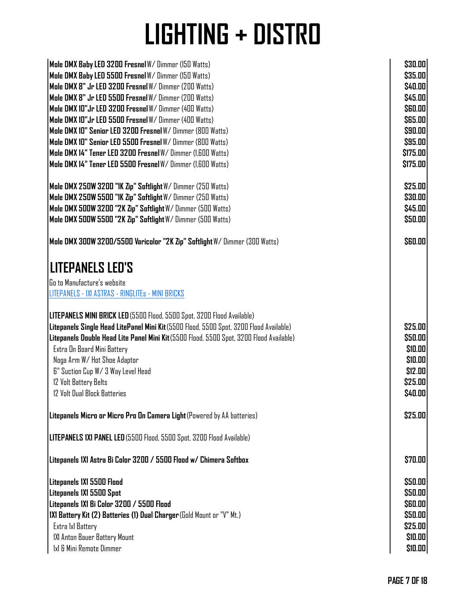| Mole DMX Baby LED 3200 Fresnel W/ Dimmer (150 Watts)                                     | \$30.00        |
|------------------------------------------------------------------------------------------|----------------|
| Mole DMX Baby LED 5500 Fresnel W/ Dimmer (150 Watts)                                     | \$35.00        |
| Mole DMX 8" Jr LED 3200 Fresnel W/ Dimmer (200 Watts)                                    | \$40.00        |
| Mole DMX 8" Jr LED 5500 Fresnel W/ Dimmer (200 Watts)                                    | \$45.00        |
| Mole DMX 10"Jr LED 3200 Fresnel W/ Dimmer (400 Watts)                                    | <b>\$60.00</b> |
| Mole DMX 10"Jr LED 5500 Fresnel W/ Dimmer (400 Watts)                                    | \$65.00        |
| Mole DMX 10" Senior LED 3200 Fresnel W/ Dimmer (800 Watts)                               | \$90.00        |
| Mole DMX 10" Senior LED 5500 Fresnel W/ Dimmer (800 Watts)                               | \$95.00        |
| Mole DMX 14" Tener LED 3200 Fresnel W/ Dimmer (1,600 Watts)                              | \$175.00       |
| Mole DMX 14" Tener LED 5500 Fresnel W/ Dimmer (1.600 Watts)                              | \$175.00       |
| Mole DMX 250W 3200 "1K Zip" Softlight W/ Dimmer (250 Watts)                              | \$25.00        |
| Mole DMX 250W 5500 "1K Zip" Softlight W/ Dimmer (250 Watts)                              | \$30.00        |
| Mole DMX 500W 3200 "2K Zip" Softlight W/ Dimmer (500 Watts)                              | \$45.00        |
| Mole DMX 500W 5500 "2K Zip" Softlight W/ Dimmer (500 Watts)                              | \$50.00        |
| Mole DMX 300W 3200/5500 Varicolor "2K Zip" Softlight W/ Dimmer (300 Watts)               | \$60.00        |
| <b>LITEPANELS LED'S</b>                                                                  |                |
| Go to Manufacture's website                                                              |                |
| LITEPANELS - IXI ASTRAS - RINGLITEs - MINI BRICKS                                        |                |
| LITEPANELS MINI BRICK LED (5500 Flood, 5500 Spot, 3200 Flood Available)                  |                |
| Litepanels Single Head LitePanel Mini Kit (5500 Flood, 5500 Spot, 3200 Flood Available)  | \$25.00        |
| Litepanels Double Head Lite Panel Mini Kit (5500 Flood, 5500 Spot, 3200 Flood Available) | \$50.00        |
| Extra On Board Mini Battery                                                              | \$10.00        |
| Noga Arm W/ Hot Shoe Adaptor                                                             | \$10.00        |
| 6" Suction Cup W/ 3 Way Level Head                                                       | \$12.00        |
| 12 Volt Battery Belts                                                                    | \$25.00        |
| 12 Volt Dual Block Batteries                                                             | \$40.00        |
| Litepanels Micro or Micro Pro On Camera Light (Powered by AA batteries)                  | \$25.00        |
| LITEPANELS 1X1 PANEL LED (5500 Flood, 5500 Spot, 3200 Flood Available)                   |                |
| Litepanels 1X1 Astra Bi Color 3200 / 5500 Flood w/ Chimera Softbox                       | \$70.00        |
| Litepanels 1X1 5500 Flood                                                                | \$50.00        |
| Litepanels 1X1 5500 Spot                                                                 | \$50.00        |
| Litepanels 1X1 Bi Color 3200 / 5500 Flood                                                | \$60.00        |
| 1X1 Battery Kit (2) Batteries (1) Dual Charger (Gold Mount or "V" Mt.)                   | \$50.00        |
| Extra 1x1 Battery                                                                        | \$25.00        |
| IXI Anton Bauer Battery Mount                                                            | \$10.00        |
| 1x1 & Mini Remote Dimmer                                                                 | \$10.00        |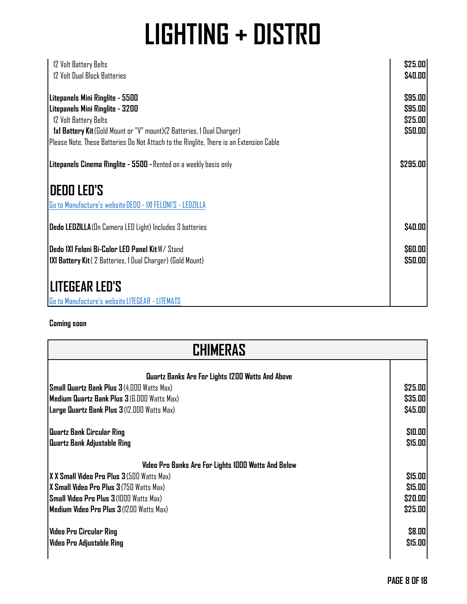| 12 Volt Battery Belts<br>12 Volt Dual Block Batteries                                                                                                                                                                                                             | \$25.00<br>\$40.00                       |
|-------------------------------------------------------------------------------------------------------------------------------------------------------------------------------------------------------------------------------------------------------------------|------------------------------------------|
| Litepanels Mini Ringlite - 5500<br>Litepanels Mini Ringlite - 3200<br>12 Volt Battery Belts<br>1x1 Battery Kit (Gold Mount or "V" mount) (2 Batteries, 1 Dual Charger)<br>Please Note, These Batteries Do Not Attach to the Ringlite, There is an Extension Cable | \$95.00<br>\$95.00<br>\$25.00<br>\$50.00 |
| Litepanels Cinema Ringlite - 5500 - Rented on a weekly basis only                                                                                                                                                                                                 | \$295.00                                 |
| <b>DEDO LED'S</b>                                                                                                                                                                                                                                                 |                                          |
| Go to Manufacture's website DEDD - 1XI FELONI'S - LEDZILLA                                                                                                                                                                                                        |                                          |
| <b>Dedo LEDZILLA</b> (On Camera LED Light) Includes 3 batteries                                                                                                                                                                                                   | \$40.00                                  |
| <b>IDedo 1X1 Feloni Bi-Color LED Panel Kit</b> W/ Stand<br><b>IXI Battery Kit</b> (2 Batteries, 1 Dual Charger) (Gold Mount)                                                                                                                                      | <b>S60.00</b><br>\$50.00                 |
| ILITEGEAR LED'S                                                                                                                                                                                                                                                   |                                          |
| Go to Manufacture's website LITEGEAR - LITEMATS                                                                                                                                                                                                                   |                                          |

**Coming soon**

| CHIMERAS                                            |         |
|-----------------------------------------------------|---------|
| Quartz Banks Are For Lights 1200 Watts And Above    |         |
| <b>Small Quartz Bank Plus 3 (4,000 Watts Max)</b>   | \$25.00 |
| Medium Quartz Bank Plus 3 (6,000 Watts Max)         | \$35.00 |
| Large Quartz Bank Plus 3 (12,000 Watts Max)         | \$45.00 |
| Quartz Bank Circular Ring                           | \$10.00 |
| Quartz Bank Adjustable Ring                         | \$15.00 |
| Video Pro Banks Are For Lights 1000 Watts And Below |         |
| <b>XX Small Video Pro Plus 3</b> (500 Watts Max)    | \$15.00 |
| X Small Video Pro Plus 3 (750 Watts Max)            | \$15.00 |
| Small Video Pro Plus 3 (1000 Watts Max)             | \$20.00 |
| Medium Video Pro Plus 3 (1200 Watts Max)            | \$25.00 |
| Video Pro Circular Ring                             | \$8.00  |
| Video Pro Adjustable Ring                           | \$15.00 |
|                                                     |         |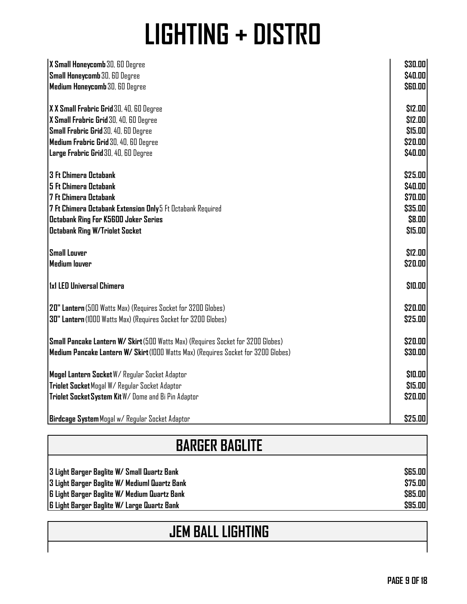| X Small Honeycomb 30, 60 Degree<br>Small Honeycomb 30, 60 Degree                   | \$30.00<br>\$40.00 |
|------------------------------------------------------------------------------------|--------------------|
| Medium Honeycomb 30, 60 Degree                                                     | \$60.00            |
| X X Small Frabric Grid 30, 40, 60 Degree                                           | \$12.00            |
| X Small Frabric Grid 30, 40, 60 Degree                                             | \$12.00            |
| Small Frabric Grid 30, 40, 60 Degree                                               | \$15.00            |
| Medium Frabric Grid 30, 40, 60 Degree                                              | \$20.00            |
| Large Frabric Grid 30, 40, 60 Degree                                               | \$40.00            |
| <b>3 Ft Chimera Octabank</b>                                                       | \$25.00            |
| 5 Ft Chimera Octabank                                                              | \$40.00            |
| <b>7 Ft Chimera Octabank</b>                                                       | \$70.00            |
| 7 Ft Chimera Octabank Extension Only 5 Ft Octabank Required                        | \$35.00            |
| Octabank Ring For K5600 Joker Series                                               | \$8.00             |
| <b>Octabank Ring W/Triolet Socket</b>                                              | \$15.00            |
| <b>Small Louver</b>                                                                | \$12.00            |
| Medium louver                                                                      | \$20.00            |
| 1x1 LED Universal Chimera                                                          | \$10.00            |
| 20" Lantern (500 Watts Max) (Requires Socket for 3200 Globes)                      | \$20.00            |
| 30" Lantern (1000 Watts Max) (Requires Socket for 3200 Globes)                     | \$25.00            |
| Small Pancake Lantern W/ Skirt (500 Watts Max) (Requires Socket for 3200 Globes)   | \$20.00            |
| Medium Pancake Lantern W/ Skirt (1000 Watts Max) (Requires Socket for 3200 Globes) | \$30.00            |
| Mogel Lantern Socket W/ Regular Socket Adaptor                                     | \$10.00            |
| Triolet Socket Mogal W/ Regular Socket Adaptor                                     | \$15.00            |
| Triolet Socket System Kit W/ Dome and Bi Pin Adaptor                               | \$20.00            |
| Birdcage System Mogal w/ Regular Socket Adaptor                                    | \$25.00            |

### **BARGER BAGLITE**

**3 Light Barger Baglite W/ Small Quartz Bank \$65.00 3 Light Barger Baglite W/ Mediuml Quartz Bank \$75.00 6 Light Barger Baglite W/ Medium Quartz Bank \$85.00 6 Light Barger Baglite W/ Large Quartz Bank \$95.00**

#### **JEM BALL LIGHTING**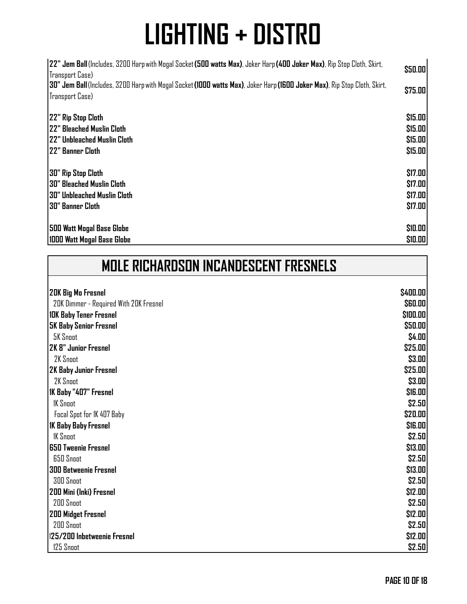| 22" Jem Ball (Includes, 3200 Harp with Mogal Socket (500 watts Max), Joker Harp (400 Joker Max), Rip Stop Cloth, Skirt,<br>Transport Case) | \$50.00 |
|--------------------------------------------------------------------------------------------------------------------------------------------|---------|
| 30" Jem Ball (Includes, 3200 Harp with Mogal Socket (1000 watts Max), Joker Harp (1600 Joker Max), Rip Stop Cloth, Skirt,                  | \$75.00 |
| Transport Case)                                                                                                                            |         |
|                                                                                                                                            |         |
| 22" Rip Stop Cloth                                                                                                                         | \$15.00 |
| 122" Bleached Muslin Cloth                                                                                                                 | \$15.00 |
| 122" Unbleached Muslin Cloth                                                                                                               | \$15.00 |
| l 22" Banner Cloth                                                                                                                         | \$15.00 |
| 30" Rip Stop Cloth                                                                                                                         | \$17.00 |
| I30" Bleached Muslin Cloth                                                                                                                 | \$17.00 |
| I30" Unbleached Muslin Cloth                                                                                                               | \$17.00 |
| 130" Banner Cloth                                                                                                                          | \$17.00 |
|                                                                                                                                            |         |
| <b>500 Watt Mogal Base Globe</b>                                                                                                           | \$10.00 |
| 1000 Watt Mogal Base Globe                                                                                                                 | \$10.00 |

| <b>MOLE RICHARDSON INCANDESCENT FRESNELS</b> |  |
|----------------------------------------------|--|
|                                              |  |

| <b>20K Big Mo Fresnel</b>              | \$400.00                    |
|----------------------------------------|-----------------------------|
| 20K Dimmer - Required With 20K Fresnel | <b>\$60.00</b>              |
| <b>10K Baby Tener Fresnel</b>          | \$100.00                    |
| <b>5K Baby Senior Fresnel</b>          | \$50.00                     |
| <b>5K Snoot</b>                        | \$4.00                      |
| <b>2K 8" Junior Fresnel</b>            | \$25.00                     |
| 2K Snoot                               | \$3.00                      |
| 2K Baby Junior Fresnel                 | \$25.00                     |
| 2K Snoot                               | \$3.00                      |
| 1K Baby "407" Fresnel                  | <b><i><u>SIG.00</u></i></b> |
| <b>IK Snoot</b>                        | \$2.50                      |
| Focal Spot for IK 407 Baby             | \$20.00                     |
| <b>IK Baby Baby Fresnel</b>            | \$16.00                     |
| <b>IK Snoot</b>                        | \$2.50                      |
| <b>650 Tweenie Fresnel</b>             | \$13.00                     |
| <b>650 Snoot</b>                       | \$2.50                      |
| <b>300 Betweenie Fresnel</b>           | \$13.00                     |
| 300 Snoot                              | \$2.50                      |
| 200 Mini (Inki) Fresnel                | \$12.00                     |
| 200 Snoot                              | \$2.50                      |
| <b>200 Midget Fresnel</b>              | \$12.00                     |
| 200 Snoot                              | \$2.50                      |
| 125/200 Inbetweenie Fresnel            | \$12.00                     |
| 125 Snoot                              | \$2.50                      |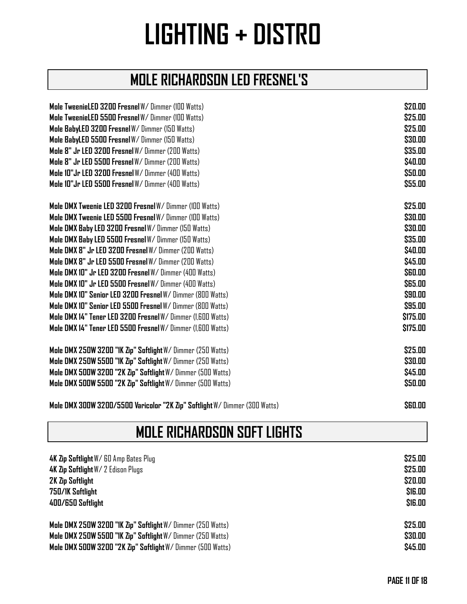#### **MOLE RICHARDSON LED FRESNEL'S**

| Mole TweenieLED 3200 Fresnel W/ Dimmer (100 Watts)          | \$20.00        |
|-------------------------------------------------------------|----------------|
| Mole TweenieLED 5500 Fresnel W/ Dimmer (100 Watts)          | \$25.00        |
| Mole BabyLED 3200 Fresnel W/ Dimmer (150 Watts)             | \$25.00        |
| Mole BabyLED 5500 Fresnel W/ Dimmer (150 Watts)             | \$30.00        |
| Mole 8" Jr LED 3200 Fresnel W/ Dimmer (200 Watts)           | \$35.00        |
| Mole 8" Jr LED 5500 Fresnel W/ Dimmer (200 Watts)           | \$40.00        |
| Mole 10"Jr LED 3200 Fresnel W/Dimmer (400 Watts)            | \$50.00        |
| Mole 10"Jr LED 5500 Fresnel W/ Dimmer (400 Watts)           | \$55.00        |
| Mole DMX Tweenie LED 3200 Fresnel W/ Dimmer (100 Watts)     | \$25.00        |
| Mole DMX Tweenie LED 5500 Fresnel W/ Dimmer (100 Watts)     | \$30.00        |
| Mole DMX Baby LED 3200 Fresnel W/ Dimmer (150 Watts)        | \$30.00        |
| Mole DMX Baby LED 5500 Fresnel W/ Dimmer (150 Watts)        | \$35.00        |
| Mole DMX 8" Jr LED 3200 Fresnel W/ Dimmer (200 Watts)       | \$40.00        |
| Mole DMX 8" Jr LED 5500 Fresnel W/ Dimmer (200 Watts)       | \$45.00        |
| Mole DMX 10" Jr LED 3200 Fresnel W/ Dimmer (400 Watts)      | <b>\$60.00</b> |
| Mole DMX 10" Jr LED 5500 Fresnel W/ Dimmer (400 Watts)      | \$65.00        |
| Mole DMX 10" Senior LED 3200 Fresnel W/ Dimmer (800 Watts)  | \$90.00        |
| Mole DMX 10" Senior LED 5500 Fresnel W/ Dimmer (800 Watts)  | \$95.00        |
| Mole DMX 14" Tener LED 3200 Fresnel W/ Dimmer (1.600 Watts) | \$175.00       |
| Mole DMX 14" Tener LED 5500 Fresnel W/ Dimmer (1,600 Watts) | \$175.00       |
| Mole DMX 250W 3200 "IK Zip" Softlight W/ Dimmer (250 Watts) | \$25.00        |
| Mole DMX 250W 5500 "1K Zip" Softlight W/ Dimmer (250 Watts) | \$30.00        |
| Mole DMX 500W 3200 "2K Zip" Softlight W/ Dimmer (500 Watts) | \$45.00        |
| Mole DMX 500W 5500 "2K Zip" Softlight W/ Dimmer (500 Watts) | \$50.00        |

**Mole DMX 300W 3200/5500 Varicolor "2K Zip" Softlight** W/ Dimmer (300 Watts) **\$60.00**

#### **MOLE RICHARDSON SOFT LIGHTS**

| 4K Zip Softlight W/ 60 Amp Bates Plug                       | \$25.00              |
|-------------------------------------------------------------|----------------------|
| 4K Zip Softlight W/ 2 Edison Plugs                          | \$25.00              |
| <b>2K Zip Softlight</b>                                     | \$20.00              |
| 750/1K Softlight                                            | <b><i>SIG.00</i></b> |
| 400/650 Softlight                                           | <b><i>S16.00</i></b> |
| Mole DMX 250W 3200 "IK Zip" Softlight W/ Dimmer (250 Watts) | \$25.00              |
| Mole DMX 250W 5500 "IK Zip" Softlight W/ Dimmer (250 Watts) | \$30.00              |
| Mole DMX 500W 3200 "2K Zip" Softlight W/ Dimmer (500 Watts) | \$45.00              |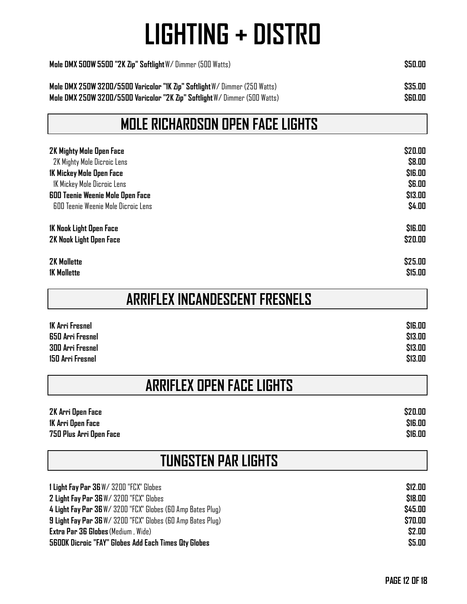| Mole DMX 500W 5500 "2K Zip" Softlight W/ Dimmer (500 Watts)                | <b>S50.00</b> |
|----------------------------------------------------------------------------|---------------|
| Mole DMX 250W 3200/5500 Varicolor "IK Zip" Softlight W/Dimmer (250 Watts)  | \$35.00       |
| Mole DMX 250W 3200/5500 Varicolor "2K Zip" Softlight W/ Dimmer (500 Watts) | \$60.00       |

#### **MOLE RICHARDSON OPEN FACE LIGHTS**

| 2K Mighty Mole Open Face                | \$20.00              |
|-----------------------------------------|----------------------|
| 2K Mighty Mole Dicroic Lens             | \$8.00               |
| 1K Mickey Mole Open Face                | <b><i>SIG.00</i></b> |
| 1K Mickey Mole Dicroic Lens             | <b>\$6.00</b>        |
| <b>600 Teenie Weenie Mole Open Face</b> | \$13.00              |
| 600 Teenie Weenie Mole Dicroic Lens     | \$4.00               |
| 1K Nook Light Open Face                 | <b><i>S16.00</i></b> |
| 2K Nook Light Open Face                 | \$20.00              |
| <b>2K Mollette</b>                      | \$25.00              |
| <b>1K Mollette</b>                      | \$15.00              |

|  | <b>ARRIFLEX INCANDESCENT FRESNELS</b> |  |  |
|--|---------------------------------------|--|--|
|--|---------------------------------------|--|--|

| <b>1K Arri Fresnel</b> | <b><i><u>SIG.00</u></i></b> |
|------------------------|-----------------------------|
| 650 Arri Fresnel       | \$13.00                     |
| 300 Arri Fresnel       | \$13.00                     |
| 150 Arri Fresnel       | \$13.00                     |

#### **ARRIFLEX OPEN FACE LIGHTS**

| 2K Arri Open Face       | \$20.00 |
|-------------------------|---------|
| 1K Arri Open Face       | \$16.00 |
| 750 Plus Arri Open Face | \$16.00 |

| <b>TUNGSTEN PAR LIGHTS</b> |  |
|----------------------------|--|
|                            |  |

| 1 Light Fay Par 36 W/ 3200 "FCX" Globes                            | \$12.00 |
|--------------------------------------------------------------------|---------|
| <b>2 Light Fay Par 36</b> W/ 3200 "FCX" Globes                     | \$18.00 |
| 4 Light Fay Par 36 W/ 3200 "FCX" Globes (60 Amp Bates Plug)        | \$45.00 |
| <b>9 Light Fay Par 36</b> W/ 3200 "FCX" Globes (60 Amp Bates Plug) | \$70.00 |
| <b>Extra Par 36 Globes</b> (Medium, Wide)                          | \$2.00  |
| <b>5600K Dicroic "FAY" Globes Add Each Times Qty Globes</b>        | \$5.00  |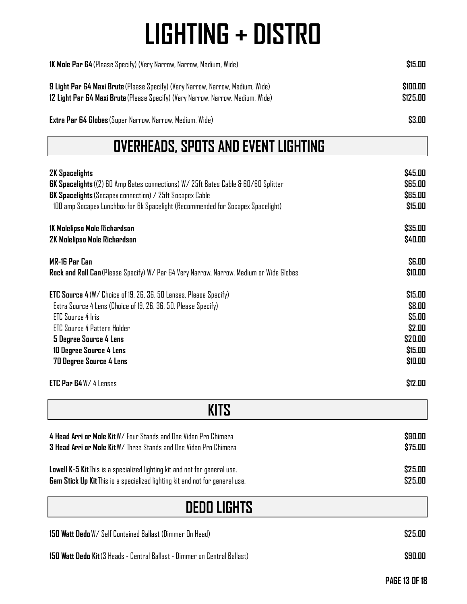| <b>IK Mole Par 64</b> (Please Specify) (Very Narrow, Narrow, Medium, Wide)                                                                                               | \$15.00              |  |
|--------------------------------------------------------------------------------------------------------------------------------------------------------------------------|----------------------|--|
| <b>9 Light Par 64 Maxi Brute</b> (Please Specify) (Very Narrow, Narrow, Medium, Wide)<br>12 Light Par 64 Maxi Brute (Please Specify) (Very Narrow, Narrow, Medium, Wide) | \$100.00<br>\$125.00 |  |
| <b>Extra Par 64 Globes</b> (Super Narrow, Narrow, Medium, Wide)                                                                                                          | \$3.00               |  |

#### **OVERHEADS, SPOTS AND EVENT LIGHTING**

| <b>2K Spacelights</b>                                                                     | \$45.00       |
|-------------------------------------------------------------------------------------------|---------------|
| <b>GK Spacelights</b> ((2) 60 Amp Bates connections) W/ 25ft Bates Cable & 60/60 Splitter | \$65.00       |
| <b>GK Spacelights</b> (Socapex connection) / 25ft Socapex Cable                           | \$65.00       |
| 100 amp Socapex Lunchbox for 6k Spacelight (Recommended for Socapex Spacelight)           | \$15.00       |
| 1K Molelipso Mole Richardson                                                              | \$35.00       |
| 2K Molelipso Mole Richardson                                                              | \$40.00       |
| MR-16 Par Can                                                                             | <b>\$6.00</b> |
| Rock and Roll Can (Please Specify) W/ Par 64 Very Narrow, Narrow, Medium or Wide Globes   | \$10.00       |
| <b>ETC Source 4</b> (W/ Choice of 19, 26, 36, 50 Lenses, Please Specify)                  | \$15.00       |
| Extra Source 4 Lens (Choice of 19, 26, 36, 50, Please Specify)                            | \$8.00        |
| <b>ETC Source 4 Iris</b>                                                                  | \$5.00        |
| <b>ETC Source 4 Pattern Holder</b>                                                        | \$2.00        |
| 5 Degree Source 4 Lens                                                                    | \$20.00       |
| 10 Degree Source 4 Lens                                                                   | \$15.00       |
| 70 Degree Source 4 Lens                                                                   | \$10.00       |
| <b>ETC Par 64 W/ 4 Lenses</b>                                                             | \$12.00       |

| <b>KITS</b>                                                                         |         |
|-------------------------------------------------------------------------------------|---------|
| 4 Head Arri or Mole Kit W/ Four Stands and One Video Pro Chimera                    | \$90.00 |
| 3 Head Arri or Mole Kit W/ Three Stands and One Video Pro Chimera                   | \$75.00 |
| <b>Lowell K-5 Kit</b> This is a specialized lighting kit and not for general use.   | \$25.00 |
| <b>Gam Stick Up Kit</b> This is a specialized lighting kit and not for general use. | \$25.00 |

| <b>DEDO LIGHTS</b>                                                        |         |
|---------------------------------------------------------------------------|---------|
| <b>150 Watt Dedo</b> W/ Self Contained Ballast (Dimmer On Head)           | \$25.00 |
| 150 Watt Dedo Kit (3 Heads - Central Ballast - Dimmer on Central Ballast) | \$90.00 |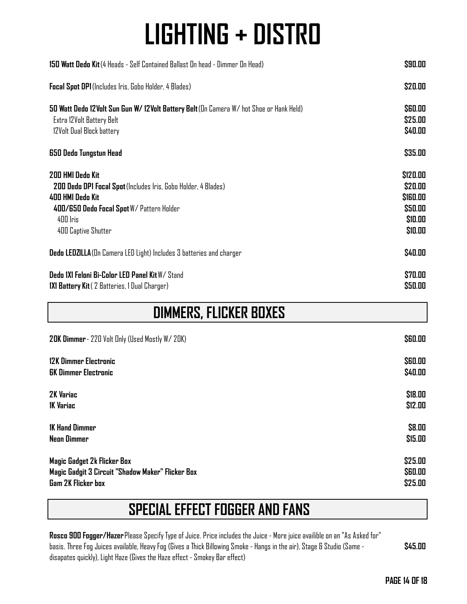| 150 Watt Dedo Kit (4 Heads - Self Contained Ballast On head - Dimmer On Head)           | \$90.00               |
|-----------------------------------------------------------------------------------------|-----------------------|
| Focal Spot DP1 (Includes Iris, Gobo Holder, 4 Blades)                                   | \$20.00               |
| 50 Watt Dedo 12 Volt Sun Gun W/12 Volt Battery Belt (On Camera W/hot Shoe or Hank Held) | \$60.00               |
| Extra 12Volt Battery Belt                                                               | \$25.00               |
| 12Volt Dual Block battery                                                               | \$40.00               |
| 650 Dedo Tungstun Head                                                                  | \$35.00               |
| 200 HMI Dedo Kit                                                                        | \$120.00              |
| 200 Dedo DP1 Focal Spot (Includes Iris, Gobo Holder, 4 Blades)                          | \$20.00               |
| 400 HMI Dedo Kit                                                                        | <b><i>SIGO.00</i></b> |
| 400/650 Dedo Focal Spot W/ Pattern Holder                                               | \$50.00               |
| 400 Iris                                                                                | \$10.00               |
| 400 Captive Shutter                                                                     | \$10.00               |
| Dedo LEDZILLA (On Camera LED Light) Includes 3 batteries and charger                    | \$40.00               |
| Dedo IXI Feloni Bi-Color LED Panel Kit W/ Stand                                         | \$70.00               |
| 1X1 Battery Kit (2 Batteries, 1 Dual Charger)                                           | \$50.00               |
| <b>DIMMERS, FLICKER BOXES</b>                                                           |                       |
| 20K Dimmer - 220 Volt Only (Used Mostly W/20K)                                          | <b>\$60.00</b>        |
|                                                                                         |                       |
| 12K Dimmer Electronic                                                                   | <b>S60.00</b>         |

| <b>GK Dimmer Electronic</b>                       | \$40.00        |
|---------------------------------------------------|----------------|
| 2K Variac                                         | \$18.00        |
| <b>IK Variac</b>                                  | \$12.00        |
| <b>1K Hand Dimmer</b>                             | \$8.00         |
| <b>Neon Dimmer</b>                                | \$15.00        |
| Magic Gadget 2k Flicker Box                       | \$25.00        |
| Magic Gadgit 3 Circuit "Shadow Maker" Flicker Box | <b>\$60.00</b> |
| Gam 2K Flicker box                                | \$25.00        |

#### **SPECIAL EFFECT FOGGER AND FANS**

**Rosco 900 Fogger/Hazer** Please Specify Type of Juice. Price includes the Juice - More juice availible on an "As Asked for" basis. Three Fog Juices available, Heavy Fog (Gives a Thick Billowing Smoke - Hangs in the air), Stage & Studio (Same disapates quickly), Light Haze (Gives the Haze effect - Smokey Bar effect) **\$45.00**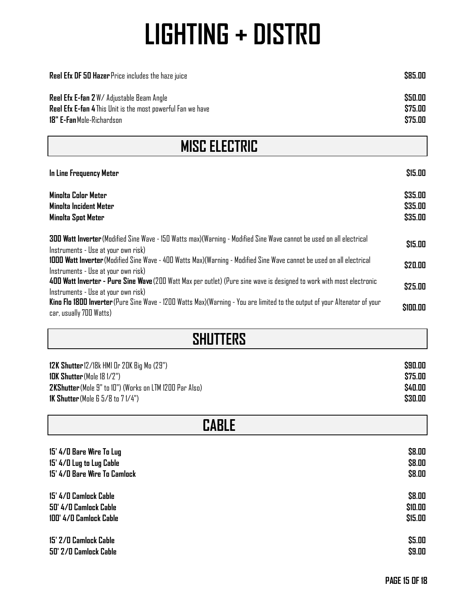| <b>Reel Efx DF 50 Hazer</b> Price includes the haze juice                                                                                                                                    | \$85.00                       |
|----------------------------------------------------------------------------------------------------------------------------------------------------------------------------------------------|-------------------------------|
| Reel Efx E-fan 2W/ Adjustable Beam Angle<br>Reel Efx E-fan 4 This Unit is the most powerful Fan we have<br>18" E-Fan Mole-Richardson                                                         | \$50.00<br>\$75.00<br>\$75.00 |
| <b>MISC ELECTRIC</b>                                                                                                                                                                         |                               |
| In Line Frequency Meter                                                                                                                                                                      | \$15.00                       |
| Minolta Color Meter<br><b>Minolta Incident Meter</b><br><b>Minolta Spot Meter</b>                                                                                                            | \$35.00<br>\$35.00<br>\$35.00 |
| 300 Watt Inverter (Modified Sine Wave - 150 Watts max) (Warning - Modified Sine Wave cannot be used on all electrical<br>Instruments - Use at your own risk)                                 | \$15.00                       |
| 1000 Watt Inverter (Modified Sine Wave - 400 Watts Max)(Warning - Modified Sine Wave cannot be used on all electrical<br>Instruments - Use at your own risk)                                 | \$20.00                       |
| 400 Watt Inverter - Pure Sine Wave (200 Watt Max per outlet) (Pure sine wave is designed to work with most electronic                                                                        | \$25.00                       |
| Instruments - Use at your own risk)<br>Kino Flo 1800 Inverter (Pure Sine Wave - 1200 Watts Max)(Warning - You are limited to the output of your Altenator of your<br>car, usually 700 Watts) | \$100.00                      |

| <b>SHUTTERS</b>                                               |         |
|---------------------------------------------------------------|---------|
| 12K Shutter 12/18k HMI Or 20K Big Mo (29")                    | \$90.00 |
| <b>IDK Shutter</b> (Mole 18 1/2")                             | \$75.00 |
| 2KShutter (Mole 9" to 10") (Works on LTM 1200 Par Also)       | \$40.00 |
| <b>1K Shutter</b> (Mole $6\frac{1}{2}$ /8 to $7\frac{1}{4}$ ) | \$30.00 |
| <b>CABLE</b>                                                  |         |
| 15' 4/0 Bare Wire To Lug                                      | \$8.00  |
| 15' 4/0 Lug to Lug Cable                                      | \$8.00  |
| 15' 4/0 Bare Wire To Camlock                                  | \$8.00  |
| 15' 4/0 Camlock Cable                                         | \$8.00  |
| 50' 4/0 Camlock Cable                                         | \$10.00 |
| 100' 4/0 Camlock Cable                                        | \$15.00 |
| 15' 2/0 Camlock Cable                                         | \$5.00  |
| 50' 2/0 Camlock Cable                                         | \$9.00  |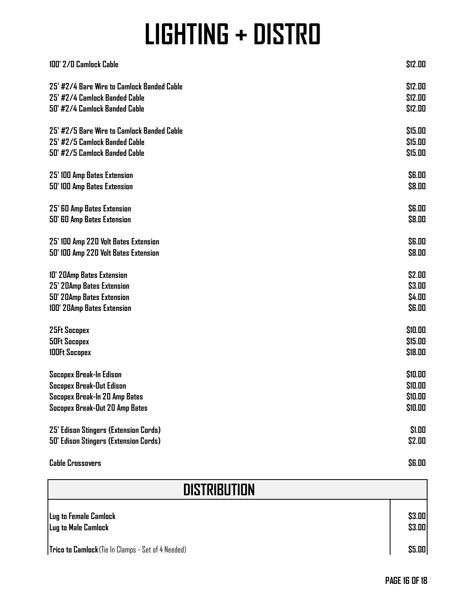| 100' 2/0 Camlock Cable                                                      | \$12.00                 |
|-----------------------------------------------------------------------------|-------------------------|
| 25' #2/4 Bare Wire to Camlock Banded Cable<br>25' #2/4 Camlock Banded Cable | \$12.00<br>\$12.00      |
| 50' #2/4 Camlock Banded Cable                                               | <b>\$12.00</b>          |
| 25' #2/5 Bare Wire to Camlock Banded Cable                                  | \$15.00                 |
| 25' #2/5 Camlock Banded Cable<br>50' #2/5 Camlock Banded Cable              | \$15.00<br>\$15.00      |
| 25' IOO Amp Bates Extension                                                 | <b>\$6.00</b>           |
| 50' 100 Amp Bates Extension                                                 | \$8.00                  |
| 25' 60 Amp Bates Extension<br>50' 60 Amp Bates Extension                    | <b>\$6.00</b><br>\$8.00 |
| 25' 100 Amp 220 Volt Bates Extension                                        | \$6.00                  |
| 50' 100 Amp 220 Volt Bates Extension                                        | \$8.00                  |
| 10' 20Amp Bates Extension                                                   | \$2.00                  |
| 25' 20Amp Bates Extension<br>50' 20Amp Bates Extension                      | \$3.00<br>\$4.00        |
| 100' 20Amp Bates Extension                                                  | <b>\$6.00</b>           |
| <b>25Ft Socopex</b>                                                         | \$10.00                 |
| <b>50Ft Socopex</b><br><b>100Ft Socopex</b>                                 | \$15.00<br>\$18.00      |
|                                                                             |                         |
| Socopex Break-In Edison<br>Socopex Break-Out Edison                         | \$10.00<br>\$10.00      |
| Socopex Break-In 20 Amp Bates                                               | \$10.00                 |
| Socopex Break-Out 20 Amp Bates                                              | \$10.00                 |
| <b>25' Edison Stingers (Extension Cords)</b>                                | \$1.00                  |
| <b>50' Edison Stingers (Extension Cords)</b>                                | \$2.00                  |

**Cable Crossovers \$6.00**

| <b>DISTRIBUTION</b>                                |                  |
|----------------------------------------------------|------------------|
| Lug to Female Camlock<br>Lug to Male Camlock       | \$3.00<br>\$3.00 |
| Trico to Camlock (Tie In Clamps - Set of 4 Needed) | \$5.00           |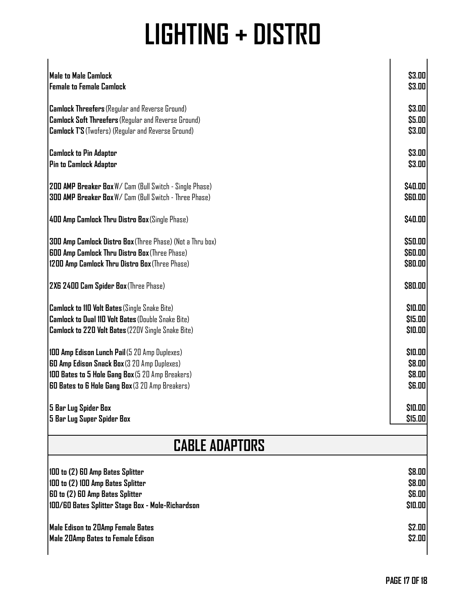| <b>Male to Male Camlock</b>                                | \$3.00         |
|------------------------------------------------------------|----------------|
| <b>Female to Female Camlock</b>                            | \$3.00         |
|                                                            |                |
| <b>Camlock Threefers</b> (Regular and Reverse Ground)      | \$3.00         |
| <b>Camlock Soft Threefers</b> (Regular and Reverse Ground) | \$5.00         |
| <b>Camlock T'S</b> (Twofers) (Regular and Reverse Ground)  | \$3.00         |
|                                                            |                |
| <b>Camlock to Pin Adaptor</b>                              | \$3.00         |
| Pin to Camlock Adaptor                                     | \$3.00         |
|                                                            |                |
| 200 AMP Breaker Box W/ Cam (Bull Switch - Single Phase)    | \$40.00        |
| 300 AMP Breaker Box W/ Cam (Bull Switch - Three Phase)     | \$60.00        |
|                                                            |                |
| 400 Amp Camlock Thru Distro Box (Single Phase)             | \$40.00        |
|                                                            |                |
| 300 Amp Camlock Distro Box (Three Phase) (Not a Thru box)  | \$50.00        |
| <b>600 Amp Camlock Thru Distro Box</b> (Three Phase)       | <b>\$60.00</b> |
| 1200 Amp Camlock Thru Distro Box (Three Phase)             | \$80.00        |
|                                                            |                |
| 2X6 2400 Cam Spider Box (Three Phase)                      | \$80.00        |
|                                                            |                |
| <b>Camlock to 110 Volt Bates (Single Snake Bite)</b>       | \$10.00        |
| <b>Camlock to Dual 110 Volt Bates (Double Snake Bite)</b>  | \$15.00        |
| Camlock to 220 Volt Bates (220V Single Snake Bite)         | \$10.00        |
|                                                            |                |
| 100 Amp Edison Lunch Pail (5 20 Amp Duplexes)              | \$10.00        |
| <b>60 Amp Edison Snack Box</b> (3 20 Amp Duplexes)         | \$8.00         |
| 100 Bates to 5 Hole Gang Box (5 20 Amp Breakers)           | \$8.00         |
| <b>60 Bates to 6 Hole Gang Box</b> (3 20 Amp Breakers)     | <b>\$6.00</b>  |
|                                                            |                |
| 5 Bar Lug Spider Box                                       | \$10.00        |
| 5 Bar Lug Super Spider Box                                 | \$15.00        |
|                                                            |                |
| <b>CABLE ADAPTORS</b>                                      |                |
|                                                            |                |
| 100 to (2) 60 Amp Bates Splitter                           | \$8.00         |
| 100 to (2) 100 Amp Bates Splitter                          | \$8.00         |
| 60 to (2) 60 Amp Bates Splitter                            | <b>\$6.00</b>  |
| 100/60 Bates Splitter Stage Box - Mole-Richardson          | \$10.00        |
|                                                            |                |
| Male Edison to 20Amp Female Bates                          | \$2.00         |
| Male 20Amp Bates to Female Edison                          | \$2.00         |
|                                                            |                |